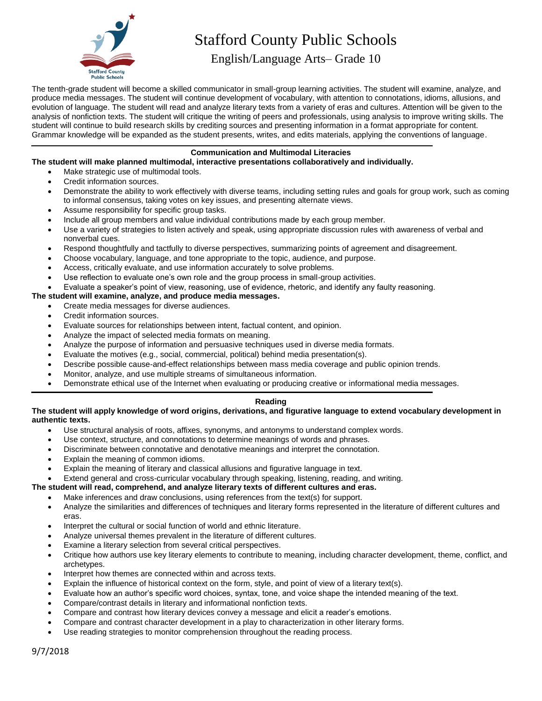

# Stafford County Public Schools

English/Language Arts– Grade 10

The tenth-grade student will become a skilled communicator in small-group learning activities. The student will examine, analyze, and produce media messages. The student will continue development of vocabulary, with attention to connotations, idioms, allusions, and evolution of language. The student will read and analyze literary texts from a variety of eras and cultures. Attention will be given to the analysis of nonfiction texts. The student will critique the writing of peers and professionals, using analysis to improve writing skills. The student will continue to build research skills by crediting sources and presenting information in a format appropriate for content. Grammar knowledge will be expanded as the student presents, writes, and edits materials, applying the conventions of language.

# **Communication and Multimodal Literacies**

# **The student will make planned multimodal, interactive presentations collaboratively and individually.**

- Make strategic use of multimodal tools.
- Credit information sources.
- Demonstrate the ability to work effectively with diverse teams, including setting rules and goals for group work, such as coming to informal consensus, taking votes on key issues, and presenting alternate views.
- Assume responsibility for specific group tasks.
- Include all group members and value individual contributions made by each group member.
- Use a variety of strategies to listen actively and speak, using appropriate discussion rules with awareness of verbal and nonverbal cues.
- Respond thoughtfully and tactfully to diverse perspectives, summarizing points of agreement and disagreement.
- Choose vocabulary, language, and tone appropriate to the topic, audience, and purpose.
- Access, critically evaluate, and use information accurately to solve problems.
- Use reflection to evaluate one's own role and the group process in small-group activities.
- Evaluate a speaker's point of view, reasoning, use of evidence, rhetoric, and identify any faulty reasoning.

# **The student will examine, analyze, and produce media messages.**

- Create media messages for diverse audiences.
- Credit information sources.
- Evaluate sources for relationships between intent, factual content, and opinion.
- Analyze the impact of selected media formats on meaning.
- Analyze the purpose of information and persuasive techniques used in diverse media formats.
- Evaluate the motives (e.g., social, commercial, political) behind media presentation(s).
- Describe possible cause-and-effect relationships between mass media coverage and public opinion trends.
- Monitor, analyze, and use multiple streams of simultaneous information.
- Demonstrate ethical use of the Internet when evaluating or producing creative or informational media messages.

# **Reading**

# **The student will apply knowledge of word origins, derivations, and figurative language to extend vocabulary development in authentic texts.**

- Use structural analysis of roots, affixes, synonyms, and antonyms to understand complex words.
- Use context, structure, and connotations to determine meanings of words and phrases.
- Discriminate between connotative and denotative meanings and interpret the connotation.
- Explain the meaning of common idioms.
- Explain the meaning of literary and classical allusions and figurative language in text.
- Extend general and cross-curricular vocabulary through speaking, listening, reading, and writing.

# **The student will read, comprehend, and analyze literary texts of different cultures and eras.**

- Make inferences and draw conclusions, using references from the text(s) for support.
- Analyze the similarities and differences of techniques and literary forms represented in the literature of different cultures and eras.
- Interpret the cultural or social function of world and ethnic literature.
- Analyze universal themes prevalent in the literature of different cultures.
- Examine a literary selection from several critical perspectives.
- Critique how authors use key literary elements to contribute to meaning, including character development, theme, conflict, and archetypes.
- Interpret how themes are connected within and across texts.
- Explain the influence of historical context on the form, style, and point of view of a literary text(s).
- Evaluate how an author's specific word choices, syntax, tone, and voice shape the intended meaning of the text.
- Compare/contrast details in literary and informational nonfiction texts.
- Compare and contrast how literary devices convey a message and elicit a reader's emotions.
- Compare and contrast character development in a play to characterization in other literary forms.
- Use reading strategies to monitor comprehension throughout the reading process.